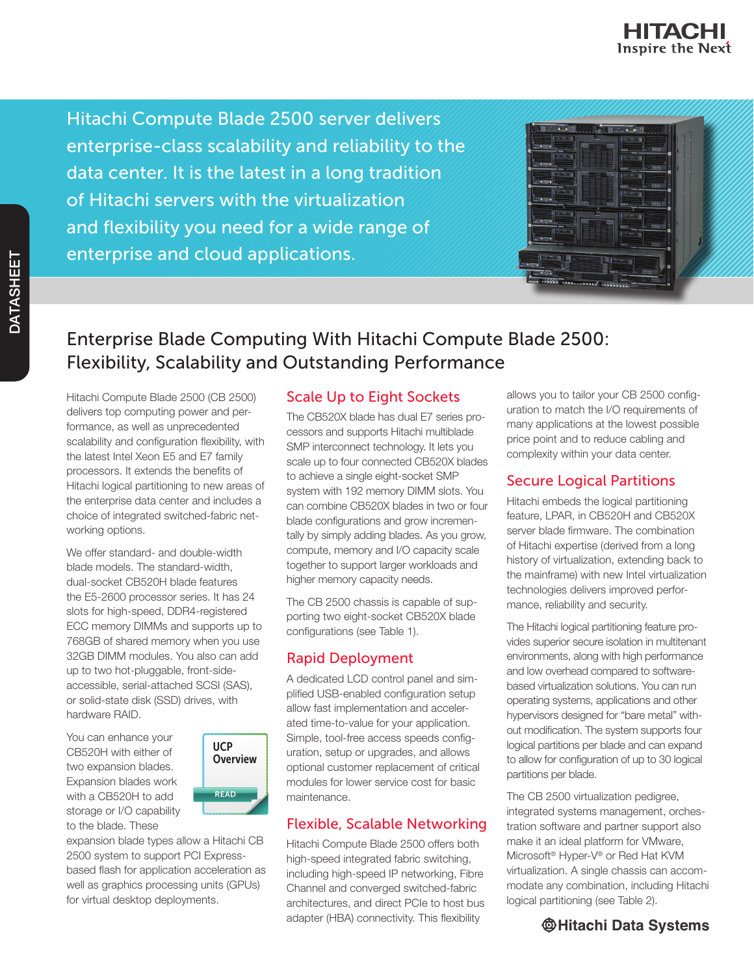

Hitachi Compute Blade 2500 server delivers enterprise-class scalability and reliability to the data center. It is the latest in a long tradition of Hitachi servers with the virtualization and flexibility you need for a wide range of enterprise and cloud applications.

| <b>Hole</b> Call                                                  | 松麻                      | <b>CONTRACTOR</b>                                                         |      |  |
|-------------------------------------------------------------------|-------------------------|---------------------------------------------------------------------------|------|--|
| <b>DESIGN</b><br>н<br>$\bullet$<br><b>WWWW</b>                    |                         | <b>DE DONNA</b><br>B<br>$\Box$<br><b>STAR</b>                             |      |  |
| <b>DE SECON</b>                                                   |                         | <b>Comment</b><br>$\bullet$<br><b>Contract</b>                            | ï    |  |
| <b>BE MAKE</b><br>$\bullet$                                       |                         | <b>Bullion</b><br>š<br>$\square$<br>in a                                  | ×    |  |
| <b>IN STATE</b>                                                   |                         | <b>COLORED</b><br>$\overline{\phantom{a}}$ , and $\overline{\phantom{a}}$ | 10   |  |
| ۲<br><b>STAR</b>                                                  |                         | <b>TOWN</b><br>۳<br><b>Distances</b>                                      |      |  |
| 28.300                                                            |                         | $\Box$<br><b>TOM</b><br>10000                                             | ۰    |  |
|                                                                   |                         |                                                                           | 2210 |  |
| <b>I salar</b>                                                    | <b>WINDOWS PERMIT</b>   | a con                                                                     |      |  |
| $\overline{\bullet}$<br>2005000<br><b>HTACHE</b><br>3888 --- 0000 | $-1$<br>z<br>********** | <br>0.0001                                                                |      |  |

# Enterprise Blade Computing With Hitachi Compute Blade 2500: Flexibility, Scalability and Outstanding Performance

Hitachi Compute Blade 2500 (CB 2500) delivers top computing power and performance, as well as unprecedented scalability and configuration flexibility, with the latest Intel Xeon E5 and E7 family processors. It extends the benefits of Hitachi logical partitioning to new areas of the enterprise data center and includes a choice of integrated switched-fabric networking options.

We offer standard- and double-width blade models. The standard-width, dual-socket CB520H blade features the E5-2600 processor series. It has 24 slots for high-speed, DDR4-registered ECC memory DIMMs and supports up to 768GB of shared memory when you use 32GB DIMM modules. You also can add up to two hot-pluggable, front-sideaccessible, serial-attached SCSI (SAS), or solid-state disk (SSD) drives, with hardware RAID.

You can enhance your CB520H with either of two expansion blades. Expansion blades work with a CB520H to add storage or I/O capability to the blade. These



expansion blade types allow a Hitachi CB 2500 system to support PCI Expressbased flash for application acceleration as well as graphics processing units (GPUs) for virtual desktop deployments.

### Scale Up to Eight Sockets

The CB520X blade has dual E7 series processors and supports Hitachi multiblade SMP interconnect technology. It lets you scale up to four connected CB520X blades to achieve a single eight-socket SMP system with 192 memory DIMM slots. You can combine CB520X blades in two or four blade configurations and grow incrementally by simply adding blades. As you grow, compute, memory and I/O capacity scale together to support larger workloads and higher memory capacity needs.

The CB 2500 chassis is capable of supporting two eight-socket CB520X blade configurations (see Table 1).

## Rapid Deployment

A dedicated LCD control panel and simplified USB-enabled configuration setup allow fast implementation and accelerated time-to-value for your application. Simple, tool-free access speeds configuration, setup or upgrades, and allows optional customer replacement of critical modules for lower service cost for basic maintenance.

## Flexible, Scalable Networking

Hitachi Compute Blade 2500 offers both high-speed integrated fabric switching, including high-speed IP networking, Fibre Channel and converged switched-fabric architectures, and direct PCIe to host bus adapter (HBA) connectivity. This flexibility

allows you to tailor your CB 2500 configuration to match the I/O requirements of many applications at the lowest possible price point and to reduce cabling and complexity within your data center.

## Secure Logical Partitions

Hitachi embeds the logical partitioning feature, LPAR, in CB520H and CB520X server blade firmware. The combination of Hitachi expertise (derived from a long history of virtualization, extending back to the mainframe) with new Intel virtualization technologies delivers improved performance, reliability and security.

The Hitachi logical partitioning feature provides superior secure isolation in multitenant environments, along with high performance and low overhead compared to softwarebased virtualization solutions. You can run operating systems, applications and other hypervisors designed for "bare metal" without modification. The system supports four logical partitions per blade and can expand to allow for configuration of up to 30 logical partitions per blade.

The CB 2500 virtualization pedigree, integrated systems management, orchestration software and partner support also make it an ideal platform for VMware, Microsoft® Hyper-V® or Red Hat KVM virtualization. A single chassis can accommodate any combination, including Hitachi logical partitioning (see Table 2).

## **@Hitachi Data Systems**